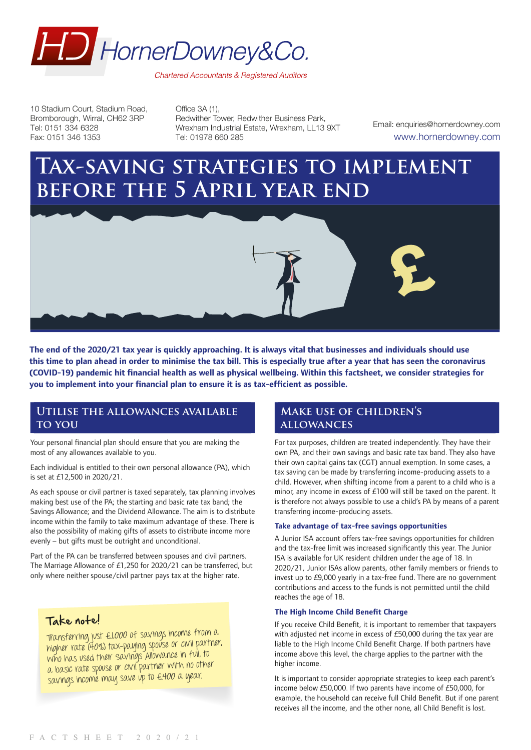

10 Stadium Court, Stadium Road, Bromborough, Wirral, CH62 3RP Tel: 0151 334 6328 Fax: 0151 346 1353

Office 3A (1), Redwither Tower, Redwither Business Park, Wrexham Industrial Estate, Wrexham, LL13 9XT Tel: 01978 660 285

Email: enquiries@hornerdowney.com www.hornerdowney.com

# **Tax-saving strategies to implement before the 5 April year end**



**The end of the 2020/21 tax year is quickly approaching. It is always vital that businesses and individuals should use this time to plan ahead in order to minimise the tax bill. This is especially true after a year that has seen the coronavirus (COVID-19) pandemic hit financial health as well as physical wellbeing. Within this factsheet, we consider strategies for you to implement into your financial plan to ensure it is as tax-efficient as possible.** 

## **Utilise the allowances available to you**

Your personal financial plan should ensure that you are making the most of any allowances available to you.

Each individual is entitled to their own personal allowance (PA), which is set at £12,500 in 2020/21.

As each spouse or civil partner is taxed separately, tax planning involves making best use of the PA; the starting and basic rate tax band; the Savings Allowance; and the Dividend Allowance. The aim is to distribute income within the family to take maximum advantage of these. There is also the possibility of making gifts of assets to distribute income more evenly – but gifts must be outright and unconditional.

Part of the PA can be transferred between spouses and civil partners. The Marriage Allowance of £1,250 for 2020/21 can be transferred, but only where neither spouse/civil partner pays tax at the higher rate.

## Take note!

Transferring just £1,000 of savings income from a higher rate (40%) tax-paying spouse or civil partner, who has used their Savings Allowance in full, to a basic rate spouse or civil partner with no other savings income may save up to £400 a year.

## **Make use of children's allowances**

For tax purposes, children are treated independently. They have their own PA, and their own savings and basic rate tax band. They also have their own capital gains tax (CGT) annual exemption. In some cases, a tax saving can be made by transferring income-producing assets to a child. However, when shifting income from a parent to a child who is a minor, any income in excess of £100 will still be taxed on the parent. It is therefore not always possible to use a child's PA by means of a parent transferring income-producing assets.

#### **Take advantage of tax-free savings opportunities**

A Junior ISA account offers tax-free savings opportunities for children and the tax-free limit was increased significantly this year. The Junior ISA is available for UK resident children under the age of 18. In 2020/21, Junior ISAs allow parents, other family members or friends to invest up to £9,000 yearly in a tax-free fund. There are no government contributions and access to the funds is not permitted until the child reaches the age of 18.

#### **The High Income Child Benefit Charge**

If you receive Child Benefit, it is important to remember that taxpayers with adjusted net income in excess of £50,000 during the tax year are liable to the High Income Child Benefit Charge. If both partners have income above this level, the charge applies to the partner with the higher income.

It is important to consider appropriate strategies to keep each parent's income below £50,000. If two parents have income of £50,000, for example, the household can receive full Child Benefit. But if one parent receives all the income, and the other none, all Child Benefit is lost.